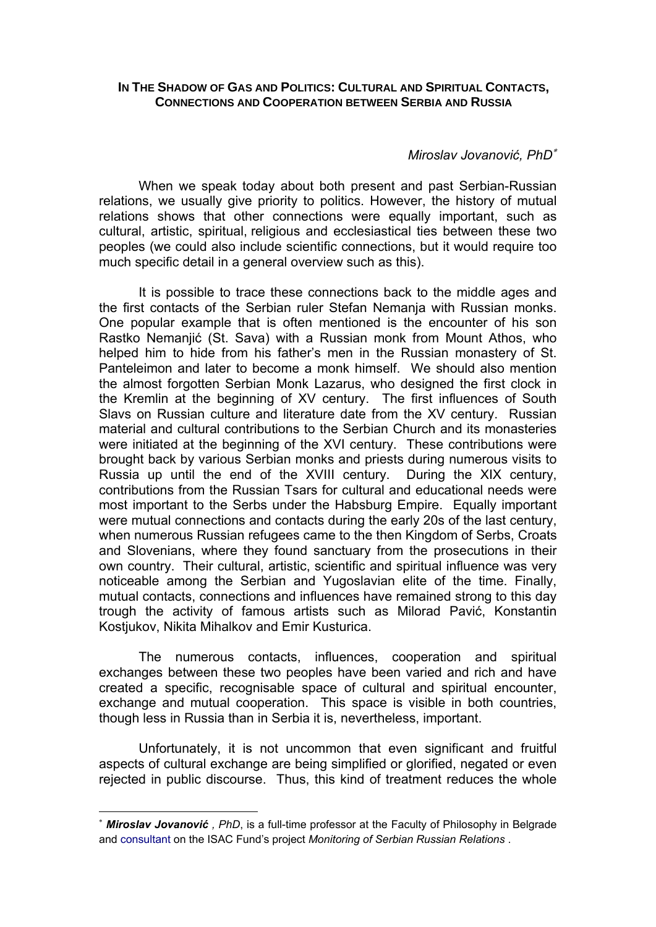## **IN THE SHADOW OF GAS AND POLITICS: CULTURAL AND SPIRITUAL CONTACTS, CONNECTIONS AND COOPERATION BETWEEN SERBIA AND RUSSIA**

# *Miroslav Jovanović, PhD*<sup>∗</sup>

When we speak today about both present and past Serbian-Russian relations, we usually give priority to politics. However, the history of mutual relations shows that other connections were equally important, such as cultural, artistic, spiritual, religious and ecclesiastical ties between these two peoples (we could also include scientific connections, but it would require too much specific detail in a general overview such as this).

It is possible to trace these connections back to the middle ages and the first contacts of the Serbian ruler Stefan Nemanja with Russian monks. One popular example that is often mentioned is the encounter of his son Rastko Nemanjić (St. Sava) with a Russian monk from Mount Athos, who helped him to hide from his father's men in the Russian monastery of St. Panteleimon and later to become a monk himself. We should also mention the almost forgotten Serbian Monk Lazarus, who designed the first clock in the Kremlin at the beginning of XV century. The first influences of South Slavs on Russian culture and literature date from the XV century. Russian material and cultural contributions to the Serbian Church and its monasteries were initiated at the beginning of the XVI century. These contributions were brought back by various Serbian monks and priests during numerous visits to Russia up until the end of the XVIII century. During the XIX century, contributions from the Russian Tsars for cultural and educational needs were most important to the Serbs under the Habsburg Empire. Equally important were mutual connections and contacts during the early 20s of the last century, when numerous Russian refugees came to the then Kingdom of Serbs, Croats and Slovenians, where they found sanctuary from the prosecutions in their own country. Their cultural, artistic, scientific and spiritual influence was very noticeable among the Serbian and Yugoslavian elite of the time. Finally, mutual contacts, connections and influences have remained strong to this day trough the activity of famous artists such as Milorad Pavić, Konstantin Kostjukov, Nikita Mihalkov and Emir Kusturica.

The numerous contacts, influences, cooperation and spiritual exchanges between these two peoples have been varied and rich and have created a specific, recognisable space of cultural and spiritual encounter, exchange and mutual cooperation. This space is visible in both countries, though less in Russia than in Serbia it is, nevertheless, important.

Unfortunately, it is not uncommon that even significant and fruitful aspects of cultural exchange are being simplified or glorified, negated or even rejected in public discourse. Thus, this kind of treatment reduces the whole

 $\overline{a}$ 

<sup>∗</sup> *Miroslav Jovanović , PhD*, is a full-time professor at the Faculty of Philosophy in Belgrade and consultant on the ISAC Fund's project *Monitoring of Serbian Russian Relations* .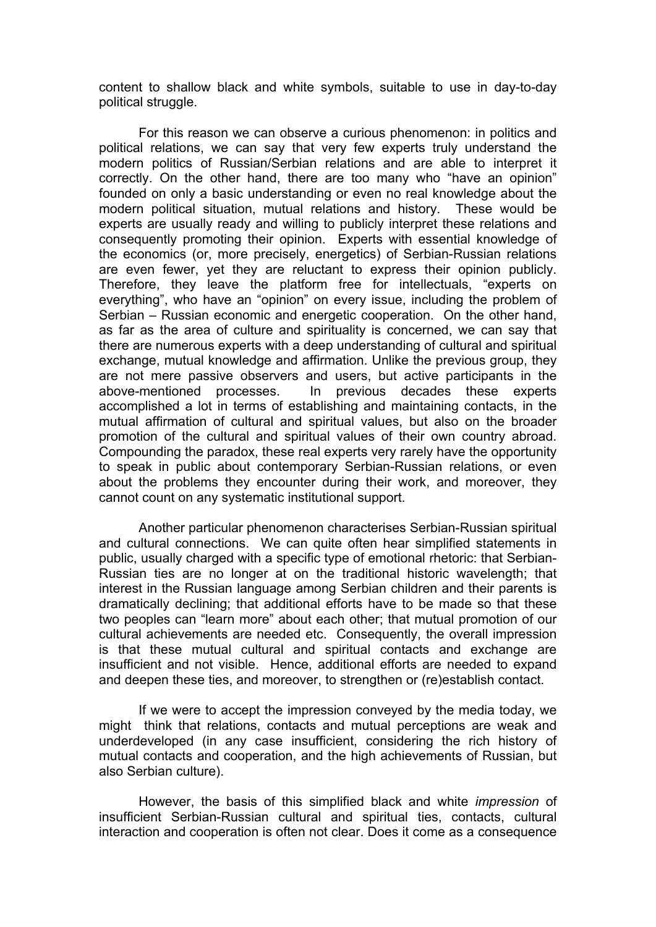content to shallow black and white symbols, suitable to use in day-to-day political struggle.

For this reason we can observe a curious phenomenon: in politics and political relations, we can say that very few experts truly understand the modern politics of Russian/Serbian relations and are able to interpret it correctly. On the other hand, there are too many who "have an opinion" founded on only a basic understanding or even no real knowledge about the modern political situation, mutual relations and history. These would be experts are usually ready and willing to publicly interpret these relations and consequently promoting their opinion. Experts with essential knowledge of the economics (or, more precisely, energetics) of Serbian-Russian relations are even fewer, yet they are reluctant to express their opinion publicly. Therefore, they leave the platform free for intellectuals, "experts on everything", who have an "opinion" on every issue, including the problem of Serbian – Russian economic and energetic cooperation. On the other hand, as far as the area of culture and spirituality is concerned, we can say that there are numerous experts with a deep understanding of cultural and spiritual exchange, mutual knowledge and affirmation. Unlike the previous group, they are not mere passive observers and users, but active participants in the above-mentioned processes. In previous decades these experts accomplished a lot in terms of establishing and maintaining contacts, in the mutual affirmation of cultural and spiritual values, but also on the broader promotion of the cultural and spiritual values of their own country abroad. Compounding the paradox, these real experts very rarely have the opportunity to speak in public about contemporary Serbian-Russian relations, or even about the problems they encounter during their work, and moreover, they cannot count on any systematic institutional support.

Another particular phenomenon characterises Serbian-Russian spiritual and cultural connections. We can quite often hear simplified statements in public, usually charged with a specific type of emotional rhetoric: that Serbian-Russian ties are no longer at on the traditional historic wavelength; that interest in the Russian language among Serbian children and their parents is dramatically declining; that additional efforts have to be made so that these two peoples can "learn more" about each other; that mutual promotion of our cultural achievements are needed etc. Consequently, the overall impression is that these mutual cultural and spiritual contacts and exchange are insufficient and not visible. Hence, additional efforts are needed to expand and deepen these ties, and moreover, to strengthen or (re)establish contact.

If we were to accept the impression conveyed by the media today, we might think that relations, contacts and mutual perceptions are weak and underdeveloped (in any case insufficient, considering the rich history of mutual contacts and cooperation, and the high achievements of Russian, but also Serbian culture).

However, the basis of this simplified black and white *impression* of insufficient Serbian-Russian cultural and spiritual ties, contacts, cultural interaction and cooperation is often not clear. Does it come as a consequence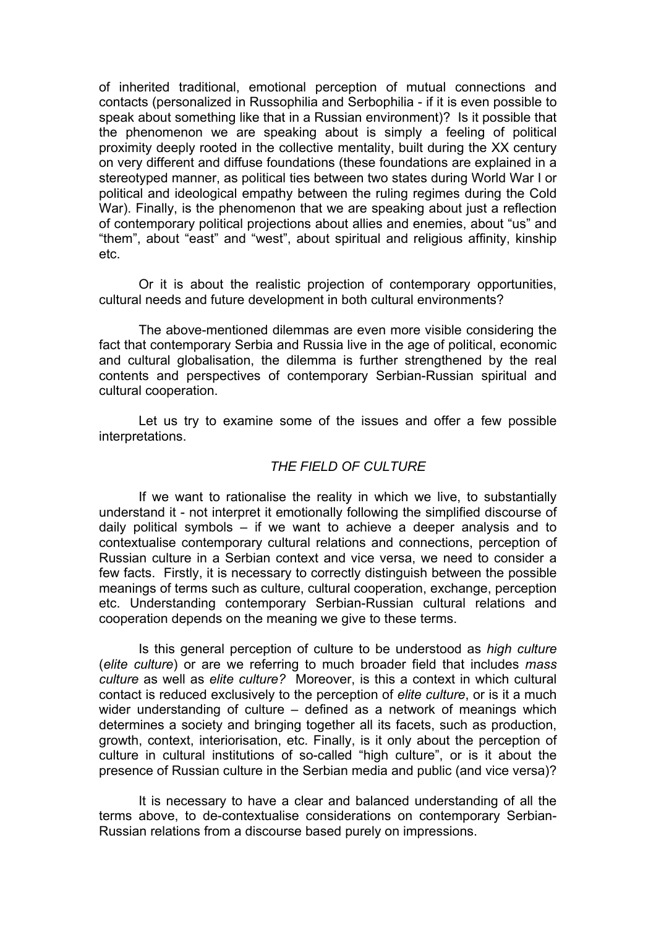of inherited traditional, emotional perception of mutual connections and contacts (personalized in Russophilia and Serbophilia - if it is even possible to speak about something like that in a Russian environment)? Is it possible that the phenomenon we are speaking about is simply a feeling of political proximity deeply rooted in the collective mentality, built during the XX century on very different and diffuse foundations (these foundations are explained in a stereotyped manner, as political ties between two states during World War I or political and ideological empathy between the ruling regimes during the Cold War). Finally, is the phenomenon that we are speaking about just a reflection of contemporary political projections about allies and enemies, about "us" and "them", about "east" and "west", about spiritual and religious affinity, kinship etc.

Or it is about the realistic projection of contemporary opportunities, cultural needs and future development in both cultural environments?

The above-mentioned dilemmas are even more visible considering the fact that contemporary Serbia and Russia live in the age of political, economic and cultural globalisation, the dilemma is further strengthened by the real contents and perspectives of contemporary Serbian-Russian spiritual and cultural cooperation.

Let us try to examine some of the issues and offer a few possible interpretations.

## *THE FIELD OF CULTURE*

If we want to rationalise the reality in which we live, to substantially understand it - not interpret it emotionally following the simplified discourse of daily political symbols – if we want to achieve a deeper analysis and to contextualise contemporary cultural relations and connections, perception of Russian culture in a Serbian context and vice versa, we need to consider a few facts. Firstly, it is necessary to correctly distinguish between the possible meanings of terms such as culture, cultural cooperation, exchange, perception etc. Understanding contemporary Serbian-Russian cultural relations and cooperation depends on the meaning we give to these terms.

Is this general perception of culture to be understood as *high culture* (*elite culture*) or are we referring to much broader field that includes *mass culture* as well as *elite culture?* Moreover, is this a context in which cultural contact is reduced exclusively to the perception of *elite culture*, or is it a much wider understanding of culture – defined as a network of meanings which determines a society and bringing together all its facets, such as production, growth, context, interiorisation, etc. Finally, is it only about the perception of culture in cultural institutions of so-called "high culture", or is it about the presence of Russian culture in the Serbian media and public (and vice versa)?

It is necessary to have a clear and balanced understanding of all the terms above, to de-contextualise considerations on contemporary Serbian-Russian relations from a discourse based purely on impressions.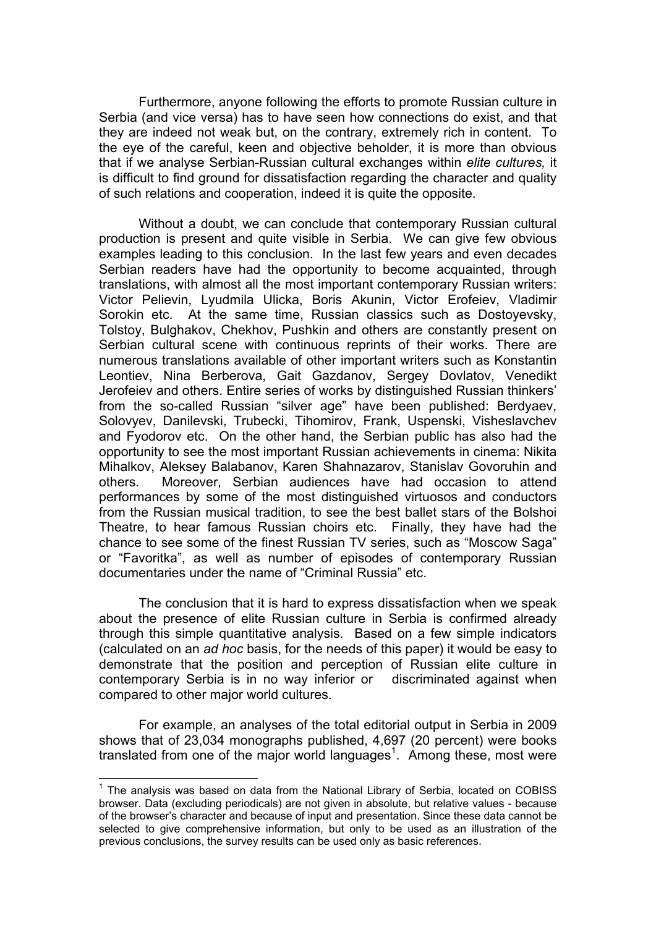Furthermore, anyone following the efforts to promote Russian culture in Serbia (and vice versa) has to have seen how connections do exist, and that they are indeed not weak but, on the contrary, extremely rich in content. To the eye of the careful, keen and objective beholder, it is more than obvious that if we analyse Serbian-Russian cultural exchanges within *elite cultures,* it is difficult to find ground for dissatisfaction regarding the character and quality of such relations and cooperation, indeed it is quite the opposite.

Without a doubt, we can conclude that contemporary Russian cultural production is present and quite visible in Serbia. We can give few obvious examples leading to this conclusion. In the last few years and even decades Serbian readers have had the opportunity to become acquainted, through translations, with almost all the most important contemporary Russian writers: Victor Pelievin, Lyudmila Ulicka, Boris Akunin, Victor Erofeiev, Vladimir Sorokin etc. At the same time, Russian classics such as Dostoyevsky, Tolstoy, Bulghakov, Chekhov, Pushkin and others are constantly present on Serbian cultural scene with continuous reprints of their works. There are numerous translations available of other important writers such as Konstantin Leontiev, Nina Berberova, Gait Gazdanov, Sergey Dovlatov, Venedikt Jerofeiev and others. Entire series of works by distinguished Russian thinkers' from the so-called Russian "silver age" have been published: Berdyaev, Solovyev, Danilevski, Trubecki, Tihomirov, Frank, Uspenski, Visheslavchev and Fyodorov etc. On the other hand, the Serbian public has also had the opportunity to see the most important Russian achievements in cinema: Nikita Mihalkov, Aleksey Balabanov, Karen Shahnazarov, Stanislav Govoruhin and others. Moreover, Serbian audiences have had occasion to attend performances by some of the most distinguished virtuosos and conductors from the Russian musical tradition, to see the best ballet stars of the Bolshoi Theatre, to hear famous Russian choirs etc. Finally, they have had the chance to see some of the finest Russian TV series, such as "Moscow Saga" or "Favoritka", as well as number of episodes of contemporary Russian documentaries under the name of "Criminal Russia" etc.

The conclusion that it is hard to express dissatisfaction when we speak about the presence of elite Russian culture in Serbia is confirmed already through this simple quantitative analysis. Based on a few simple indicators (calculated on an *ad hoc* basis, for the needs of this paper) it would be easy to demonstrate that the position and perception of Russian elite culture in contemporary Serbia is in no way inferior or discriminated against when compared to other major world cultures.

For example, an analyses of the total editorial output in Serbia in 2009 shows that of 23,034 monographs published, 4,697 (20 percent) were books translated from one of the major world languages<sup>1</sup>. Among these, most were

 $\overline{a}$ 

<sup>&</sup>lt;sup>1</sup> The analysis was based on data from the National Library of Serbia, located on COBISS browser. Data (excluding periodicals) are not given in absolute, but relative values - because of the browser's character and because of input and presentation. Since these data cannot be selected to give comprehensive information, but only to be used as an illustration of the previous conclusions, the survey results can be used only as basic references.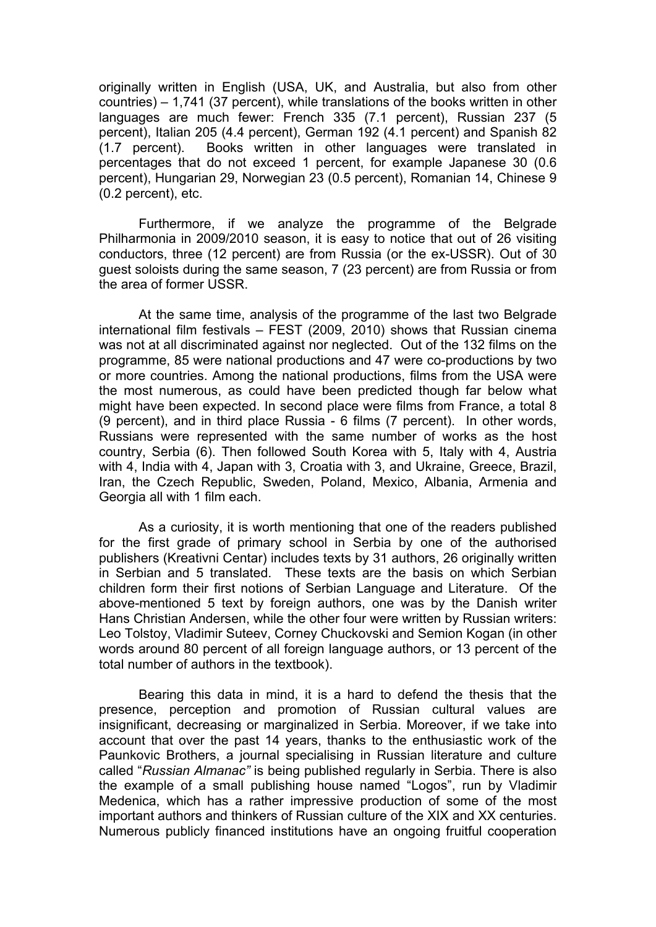originally written in English (USA, UK, and Australia, but also from other countries) – 1,741 (37 percent), while translations of the books written in other languages are much fewer: French 335 (7.1 percent), Russian 237 (5 percent), Italian 205 (4.4 percent), German 192 (4.1 percent) and Spanish 82 (1.7 percent). Books written in other languages were translated in percentages that do not exceed 1 percent, for example Japanese 30 (0.6 percent), Hungarian 29, Norwegian 23 (0.5 percent), Romanian 14, Chinese 9 (0.2 percent), etc.

Furthermore, if we analyze the programme of the Belgrade Philharmonia in 2009/2010 season, it is easy to notice that out of 26 visiting conductors, three (12 percent) are from Russia (or the ex-USSR). Out of 30 guest soloists during the same season, 7 (23 percent) are from Russia or from the area of former USSR.

At the same time, analysis of the programme of the last two Belgrade international film festivals – FEST (2009, 2010) shows that Russian cinema was not at all discriminated against nor neglected. Out of the 132 films on the programme, 85 were national productions and 47 were co-productions by two or more countries. Among the national productions, films from the USA were the most numerous, as could have been predicted though far below what might have been expected. In second place were films from France, a total 8 (9 percent), and in third place Russia - 6 films (7 percent). In other words, Russians were represented with the same number of works as the host country, Serbia (6). Then followed South Korea with 5, Italy with 4, Austria with 4, India with 4, Japan with 3, Croatia with 3, and Ukraine, Greece, Brazil, Iran, the Czech Republic, Sweden, Poland, Mexico, Albania, Armenia and Georgia all with 1 film each.

As a curiosity, it is worth mentioning that one of the readers published for the first grade of primary school in Serbia by one of the authorised publishers (Kreativni Centar) includes texts by 31 authors, 26 originally written in Serbian and 5 translated. These texts are the basis on which Serbian children form their first notions of Serbian Language and Literature. Of the above-mentioned 5 text by foreign authors, one was by the Danish writer Hans Christian Andersen, while the other four were written by Russian writers: Leo Tolstoy, Vladimir Suteev, Corney Chuckovski and Semion Kogan (in other words around 80 percent of all foreign language authors, or 13 percent of the total number of authors in the textbook).

Bearing this data in mind, it is a hard to defend the thesis that the presence, perception and promotion of Russian cultural values are insignificant, decreasing or marginalized in Serbia. Moreover, if we take into account that over the past 14 years, thanks to the enthusiastic work of the Paunkovic Brothers, a journal specialising in Russian literature and culture called "*Russian Almanac"* is being published regularly in Serbia. There is also the example of a small publishing house named "Logos", run by Vladimir Medenica, which has a rather impressive production of some of the most important authors and thinkers of Russian culture of the XIX and XX centuries. Numerous publicly financed institutions have an ongoing fruitful cooperation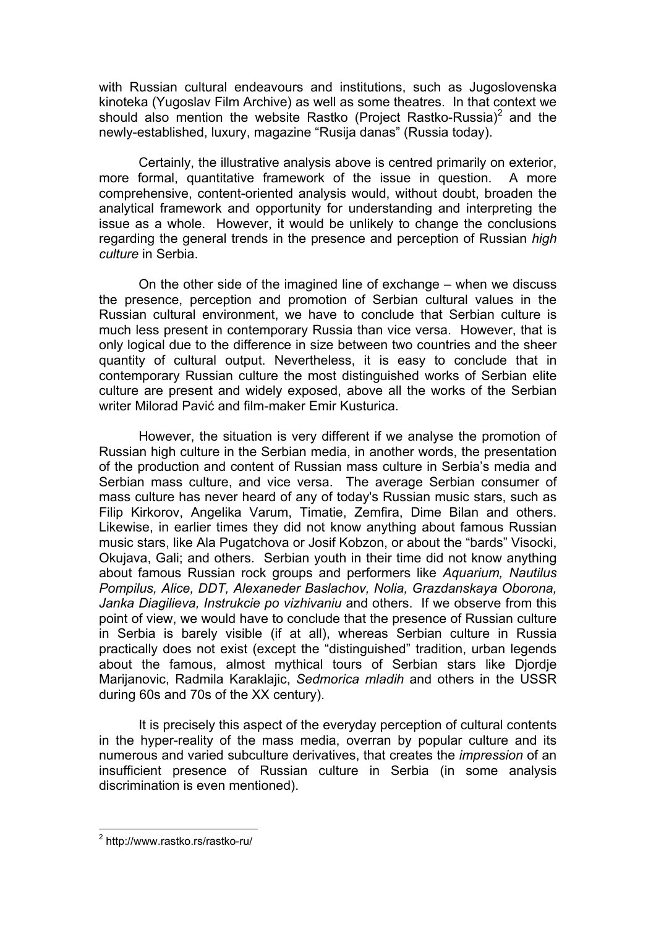with Russian cultural endeavours and institutions, such as Jugoslovenska kinoteka (Yugoslav Film Archive) as well as some theatres. In that context we should also mention the website Rastko (Project Rastko-Russia)<sup>2</sup> and the newly-established, luxury, magazine "Rusija danas" (Russia today).

Certainly, the illustrative analysis above is centred primarily on exterior, more formal, quantitative framework of the issue in question. A more comprehensive, content-oriented analysis would, without doubt, broaden the analytical framework and opportunity for understanding and interpreting the issue as a whole. However, it would be unlikely to change the conclusions regarding the general trends in the presence and perception of Russian *high culture* in Serbia.

On the other side of the imagined line of exchange – when we discuss the presence, perception and promotion of Serbian cultural values in the Russian cultural environment, we have to conclude that Serbian culture is much less present in contemporary Russia than vice versa. However, that is only logical due to the difference in size between two countries and the sheer quantity of cultural output. Nevertheless, it is easy to conclude that in contemporary Russian culture the most distinguished works of Serbian elite culture are present and widely exposed, above all the works of the Serbian writer Milorad Pavić and film-maker Emir Kusturica.

However, the situation is very different if we analyse the promotion of Russian high culture in the Serbian media, in another words, the presentation of the production and content of Russian mass culture in Serbia's media and Serbian mass culture, and vice versa. The average Serbian consumer of mass culture has never heard of any of today's Russian music stars, such as Filip Kirkorov, Angelika Varum, Timatie, Zemfira, Dime Bilan and others. Likewise, in earlier times they did not know anything about famous Russian music stars, like Ala Pugatchova or Josif Kobzon, or about the "bards" Visocki, Okujava, Gali; and others. Serbian youth in their time did not know anything about famous Russian rock groups and performers like *Aquarium, Nautilus Pompilus, Alice, DDT, Alexaneder Baslachov, Nolia, Grazdanskaya Oborona, Janka Diagilieva, Instrukcie po vizhivaniu* and others. If we observe from this point of view, we would have to conclude that the presence of Russian culture in Serbia is barely visible (if at all), whereas Serbian culture in Russia practically does not exist (except the "distinguished" tradition, urban legends about the famous, almost mythical tours of Serbian stars like Djordje Marijanovic, Radmila Karaklajic, *Sedmorica mladih* and others in the USSR during 60s and 70s of the XX century).

It is precisely this aspect of the everyday perception of cultural contents in the hyper-reality of the mass media, overran by popular culture and its numerous and varied subculture derivatives, that creates the *impression* of an insufficient presence of Russian culture in Serbia (in some analysis discrimination is even mentioned).

 2 http://www.rastko.rs/rastko-ru/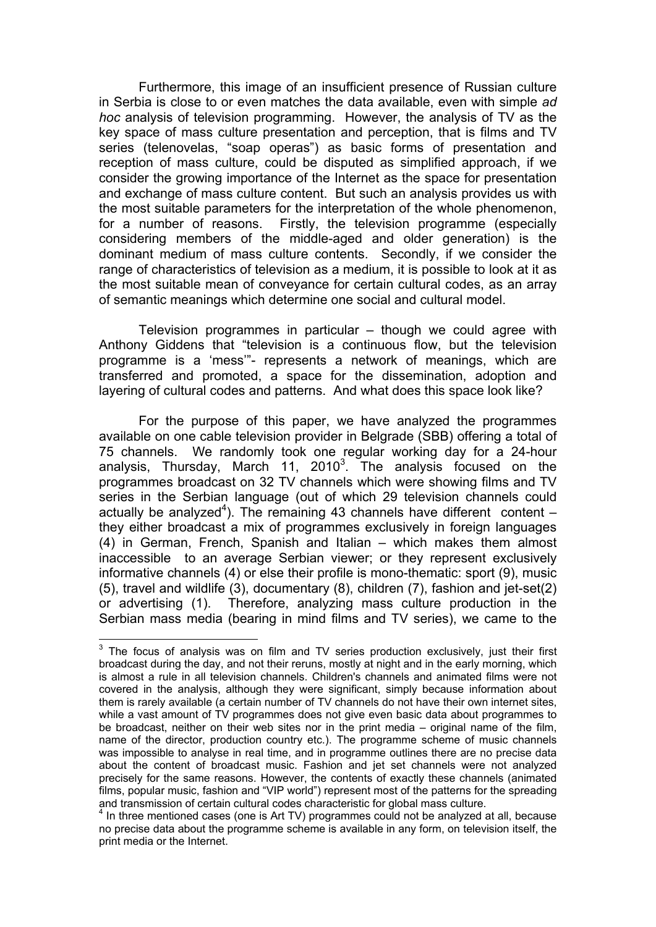Furthermore, this image of an insufficient presence of Russian culture in Serbia is close to or even matches the data available, even with simple *ad hoc* analysis of television programming. However, the analysis of TV as the key space of mass culture presentation and perception, that is films and TV series (telenovelas, "soap operas") as basic forms of presentation and reception of mass culture, could be disputed as simplified approach, if we consider the growing importance of the Internet as the space for presentation and exchange of mass culture content. But such an analysis provides us with the most suitable parameters for the interpretation of the whole phenomenon, for a number of reasons. Firstly, the television programme (especially considering members of the middle-aged and older generation) is the dominant medium of mass culture contents. Secondly, if we consider the range of characteristics of television as a medium, it is possible to look at it as the most suitable mean of conveyance for certain cultural codes, as an array of semantic meanings which determine one social and cultural model.

Television programmes in particular – though we could agree with Anthony Giddens that "television is a continuous flow, but the television programme is a 'mess'"- represents a network of meanings, which are transferred and promoted, a space for the dissemination, adoption and layering of cultural codes and patterns. And what does this space look like?

For the purpose of this paper, we have analyzed the programmes available on one cable television provider in Belgrade (SBB) offering a total of 75 channels. We randomly took one regular working day for a 24-hour analysis, Thursday, March 11, 2010<sup>3</sup>. The analysis focused on the programmes broadcast on 32 TV channels which were showing films and TV series in the Serbian language (out of which 29 television channels could actually be analyzed<sup>4</sup>). The remaining 43 channels have different content  $$ they either broadcast a mix of programmes exclusively in foreign languages (4) in German, French, Spanish and Italian – which makes them almost inaccessible to an average Serbian viewer; or they represent exclusively informative channels (4) or else their profile is mono-thematic: sport (9), music (5), travel and wildlife (3), documentary (8), children (7), fashion and jet-set(2) or advertising (1). Therefore, analyzing mass culture production in the Serbian mass media (bearing in mind films and TV series), we came to the

**EXECUTE:**<br><sup>3</sup> The focus of analysis was on film and TV series production exclusively, just their first broadcast during the day, and not their reruns, mostly at night and in the early morning, which is almost a rule in all television channels. Children's channels and animated films were not covered in the analysis, although they were significant, simply because information about them is rarely available (a certain number of TV channels do not have their own internet sites, while a vast amount of TV programmes does not give even basic data about programmes to be broadcast, neither on their web sites nor in the print media – original name of the film, name of the director, production country etc.). The programme scheme of music channels was impossible to analyse in real time, and in programme outlines there are no precise data about the content of broadcast music. Fashion and jet set channels were not analyzed precisely for the same reasons. However, the contents of exactly these channels (animated films, popular music, fashion and "VIP world") represent most of the patterns for the spreading and transmission of certain cultural codes characteristic for global mass culture. 4

<sup>&</sup>lt;sup>4</sup> In three mentioned cases (one is Art TV) programmes could not be analyzed at all, because no precise data about the programme scheme is available in any form, on television itself, the print media or the Internet.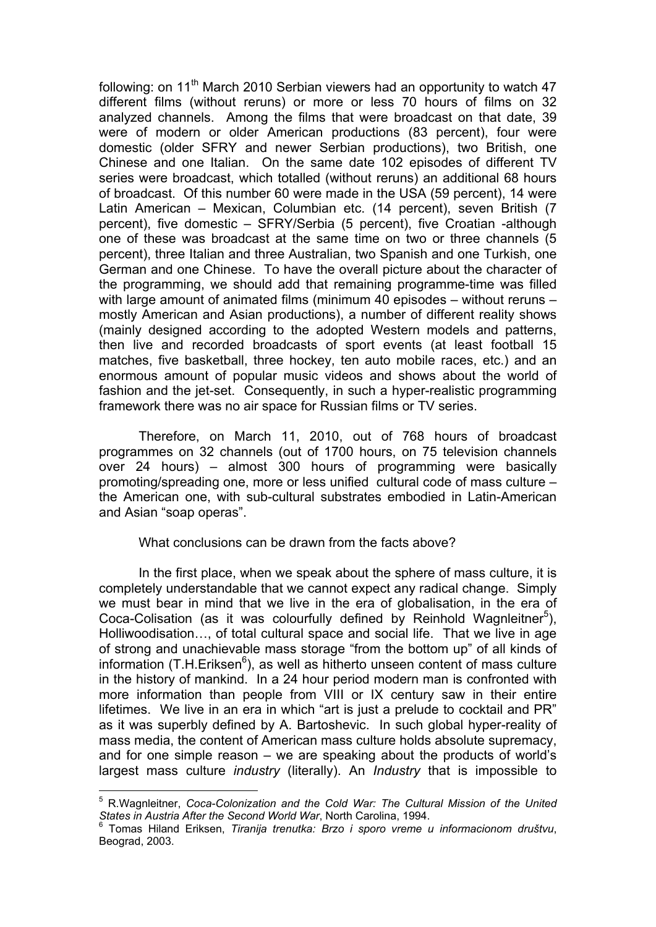following: on  $11<sup>th</sup>$  March 2010 Serbian viewers had an opportunity to watch 47 different films (without reruns) or more or less 70 hours of films on 32 analyzed channels. Among the films that were broadcast on that date, 39 were of modern or older American productions (83 percent), four were domestic (older SFRY and newer Serbian productions), two British, one Chinese and one Italian. On the same date 102 episodes of different TV series were broadcast, which totalled (without reruns) an additional 68 hours of broadcast. Of this number 60 were made in the USA (59 percent), 14 were Latin American – Mexican, Columbian etc. (14 percent), seven British (7 percent), five domestic – SFRY/Serbia (5 percent), five Croatian -although one of these was broadcast at the same time on two or three channels (5 percent), three Italian and three Australian, two Spanish and one Turkish, one German and one Chinese. To have the overall picture about the character of the programming, we should add that remaining programme-time was filled with large amount of animated films (minimum 40 episodes – without reruns – mostly American and Asian productions), a number of different reality shows (mainly designed according to the adopted Western models and patterns, then live and recorded broadcasts of sport events (at least football 15 matches, five basketball, three hockey, ten auto mobile races, etc.) and an enormous amount of popular music videos and shows about the world of fashion and the jet-set. Consequently, in such a hyper-realistic programming framework there was no air space for Russian films or TV series.

Therefore, on March 11, 2010, out of 768 hours of broadcast programmes on 32 channels (out of 1700 hours, on 75 television channels over 24 hours) – almost 300 hours of programming were basically promoting/spreading one, more or less unified cultural code of mass culture – the American one, with sub-cultural substrates embodied in Latin-American and Asian "soap operas".

## What conclusions can be drawn from the facts above?

In the first place, when we speak about the sphere of mass culture, it is completely understandable that we cannot expect any radical change. Simply we must bear in mind that we live in the era of globalisation, in the era of Coca-Colisation (as it was colourfully defined by Reinhold Wagnleitner<sup>5</sup>), Holliwoodisation…, of total cultural space and social life. That we live in age of strong and unachievable mass storage "from the bottom up" of all kinds of information (T.H.Eriksen<sup>6</sup>), as well as hitherto unseen content of mass culture in the history of mankind. In a 24 hour period modern man is confronted with more information than people from VIII or IX century saw in their entire lifetimes. We live in an era in which "art is just a prelude to cocktail and PR" as it was superbly defined by A. Bartoshevic. In such global hyper-reality of mass media, the content of American mass culture holds absolute supremacy, and for one simple reason – we are speaking about the products of world's largest mass culture *industry* (literally). An *Industry* that is impossible to

 $\overline{a}$ 5 R.Wagnleitner, *Coca-Colonization and the Cold War: The Cultural Mission of the United States in Austria After the Second World War*, North Carolina, 1994.

<sup>6</sup> Tomas Hiland Eriksen, *Tiranija trenutka: Brzo i sporo vreme u informacionom društvu*, Beograd, 2003.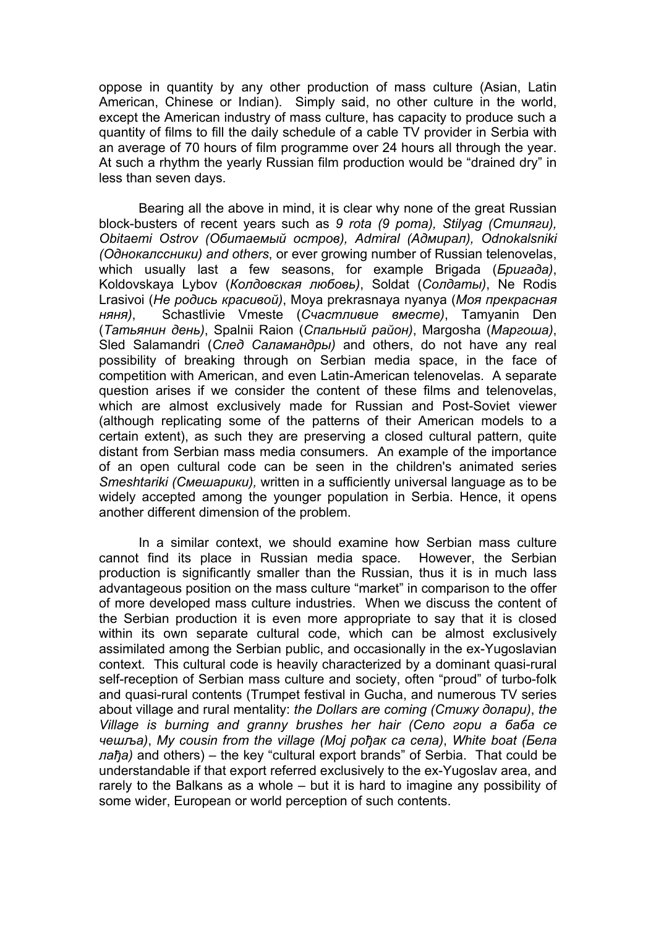oppose in quantity by any other production of mass culture (Asian, Latin American, Chinese or Indian). Simply said, no other culture in the world, except the American industry of mass culture, has capacity to produce such a quantity of films to fill the daily schedule of a cable TV provider in Serbia with an average of 70 hours of film programme over 24 hours all through the year. At such a rhythm the yearly Russian film production would be "drained dry" in less than seven days.

Bearing all the above in mind, it is clear why none of the great Russian block-busters of recent years such as *9 rota (9 рота), Stilyag (Cтиляги), Obitaemi Ostrov (Oбитаемый остров), Admiral (Aдмирал), Odnokalsniki (Однокалссники) and others*, or ever growing number of Russian telenovelas, which usually last a few seasons, for example Brigada (*Бригада)*, Koldovskaya Lybov (*Колдовская любовь)*, Soldat (*Солдаты)*, Ne Rodis Lrasivoi (*Не родись красивой)*, Moya prekrasnaya nyanya (*Моя прекрасная няня)*, Schastlivie Vmeste (*Счастливие вместе)*, Tamyanin Den (*Татьянин день)*, Spalnii Raion (*Спальный район)*, Margosha (*Маргоша)*, Sled Salamandri (*След Саламандры)* and others, do not have any real possibility of breaking through on Serbian media space, in the face of competition with American, and even Latin-American telenovelas. A separate question arises if we consider the content of these films and telenovelas, which are almost exclusively made for Russian and Post-Soviet viewer (although replicating some of the patterns of their American models to a certain extent), as such they are preserving a closed cultural pattern, quite distant from Serbian mass media consumers. An example of the importance of an open cultural code can be seen in the children's animated series *Smeshtariki (Смешарики),* written in a sufficiently universal language as to be widely accepted among the younger population in Serbia. Hence, it opens another different dimension of the problem.

In a similar context, we should examine how Serbian mass culture cannot find its place in Russian media space. However, the Serbian production is significantly smaller than the Russian, thus it is in much lass advantageous position on the mass culture "market" in comparison to the offer of more developed mass culture industries. When we discuss the content of the Serbian production it is even more appropriate to say that it is closed within its own separate cultural code, which can be almost exclusively assimilated among the Serbian public, and occasionally in the ex-Yugoslavian context. This cultural code is heavily characterized by a dominant quasi-rural self-reception of Serbian mass culture and society, often "proud" of turbo-folk and quasi-rural contents (Trumpet festival in Gucha, and numerous TV series about village and rural mentality: *the Dollars are coming (Стижу долари)*, *the Village is burning and granny brushes her hair (Село гори а баба се чешља)*, *My cousin from the village (Мој рођак са села)*, *White boat (Бела лађа)* and others) – the key "cultural export brands" of Serbia. That could be understandable if that export referred exclusively to the ex-Yugoslav area, and rarely to the Balkans as a whole – but it is hard to imagine any possibility of some wider, European or world perception of such contents.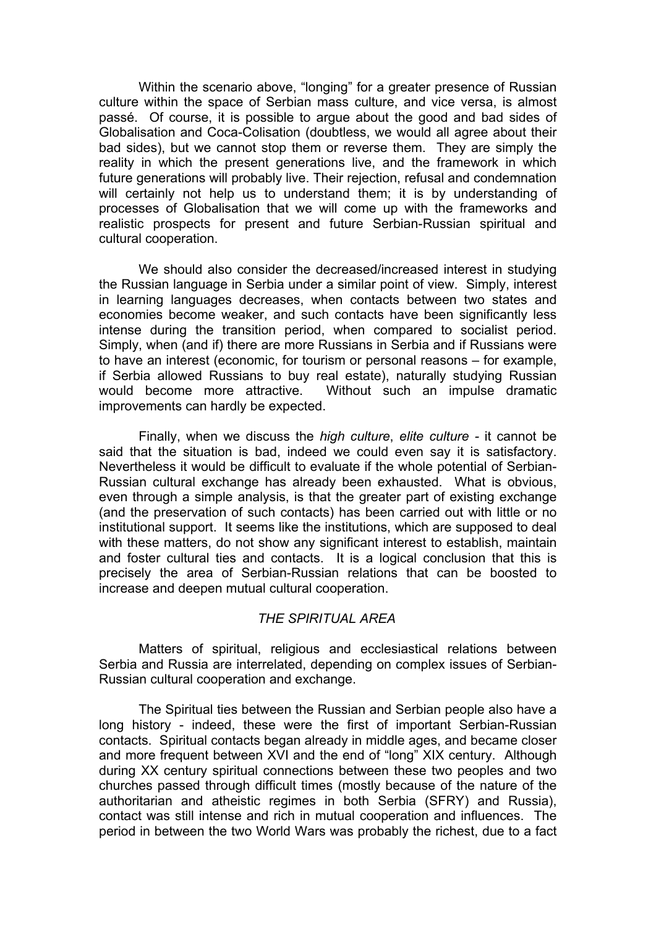Within the scenario above, "longing" for a greater presence of Russian culture within the space of Serbian mass culture, and vice versa, is almost passé. Of course, it is possible to argue about the good and bad sides of Globalisation and Coca-Colisation (doubtless, we would all agree about their bad sides), but we cannot stop them or reverse them. They are simply the reality in which the present generations live, and the framework in which future generations will probably live. Their rejection, refusal and condemnation will certainly not help us to understand them; it is by understanding of processes of Globalisation that we will come up with the frameworks and realistic prospects for present and future Serbian-Russian spiritual and cultural cooperation.

We should also consider the decreased/increased interest in studying the Russian language in Serbia under a similar point of view. Simply, interest in learning languages decreases, when contacts between two states and economies become weaker, and such contacts have been significantly less intense during the transition period, when compared to socialist period. Simply, when (and if) there are more Russians in Serbia and if Russians were to have an interest (economic, for tourism or personal reasons – for example, if Serbia allowed Russians to buy real estate), naturally studying Russian would become more attractive. Without such an impulse dramatic improvements can hardly be expected.

Finally, when we discuss the *high culture*, *elite culture -* it cannot be said that the situation is bad, indeed we could even say it is satisfactory. Nevertheless it would be difficult to evaluate if the whole potential of Serbian-Russian cultural exchange has already been exhausted. What is obvious, even through a simple analysis, is that the greater part of existing exchange (and the preservation of such contacts) has been carried out with little or no institutional support. It seems like the institutions, which are supposed to deal with these matters, do not show any significant interest to establish, maintain and foster cultural ties and contacts. It is a logical conclusion that this is precisely the area of Serbian-Russian relations that can be boosted to increase and deepen mutual cultural cooperation.

#### *THE SPIRITUAL AREA*

Matters of spiritual, religious and ecclesiastical relations between Serbia and Russia are interrelated, depending on complex issues of Serbian-Russian cultural cooperation and exchange.

The Spiritual ties between the Russian and Serbian people also have a long history - indeed, these were the first of important Serbian-Russian contacts. Spiritual contacts began already in middle ages, and became closer and more frequent between XVI and the end of "long" XIX century. Although during XX century spiritual connections between these two peoples and two churches passed through difficult times (mostly because of the nature of the authoritarian and atheistic regimes in both Serbia (SFRY) and Russia), contact was still intense and rich in mutual cooperation and influences. The period in between the two World Wars was probably the richest, due to a fact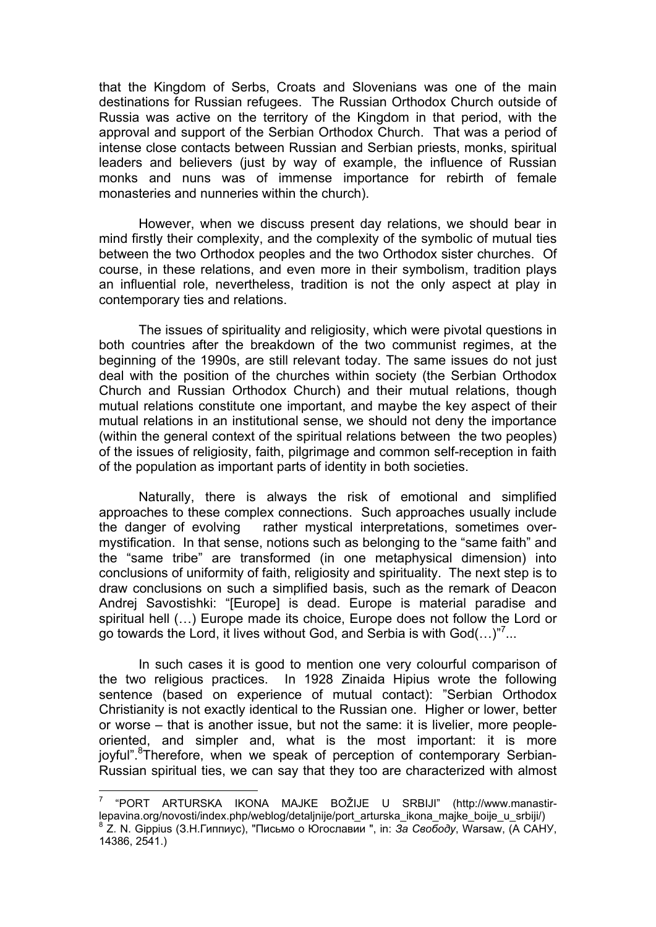that the Kingdom of Serbs, Croats and Slovenians was one of the main destinations for Russian refugees. The Russian Orthodox Church outside of Russia was active on the territory of the Kingdom in that period, with the approval and support of the Serbian Orthodox Church. That was a period of intense close contacts between Russian and Serbian priests, monks, spiritual leaders and believers (just by way of example, the influence of Russian monks and nuns was of immense importance for rebirth of female monasteries and nunneries within the church).

However, when we discuss present day relations, we should bear in mind firstly their complexity, and the complexity of the symbolic of mutual ties between the two Orthodox peoples and the two Orthodox sister churches. Of course, in these relations, and even more in their symbolism, tradition plays an influential role, nevertheless, tradition is not the only aspect at play in contemporary ties and relations.

The issues of spirituality and religiosity, which were pivotal questions in both countries after the breakdown of the two communist regimes, at the beginning of the 1990s, are still relevant today. The same issues do not just deal with the position of the churches within society (the Serbian Orthodox Church and Russian Orthodox Church) and their mutual relations, though mutual relations constitute one important, and maybe the key aspect of their mutual relations in an institutional sense, we should not deny the importance (within the general context of the spiritual relations between the two peoples) of the issues of religiosity, faith, pilgrimage and common self-reception in faith of the population as important parts of identity in both societies.

Naturally, there is always the risk of emotional and simplified approaches to these complex connections. Such approaches usually include the danger of evolving rather mystical interpretations, sometimes overmystification. In that sense, notions such as belonging to the "same faith" and the "same tribe" are transformed (in one metaphysical dimension) into conclusions of uniformity of faith, religiosity and spirituality. The next step is to draw conclusions on such a simplified basis, such as the remark of Deacon Andrej Savostishki: "[Europe] is dead. Europe is material paradise and spiritual hell (…) Europe made its choice, Europe does not follow the Lord or go towards the Lord, it lives without God, and Serbia is with  $God(...)^{n7}...$ 

In such cases it is good to mention one very colourful comparison of the two religious practices. In 1928 Zinaida Hipius wrote the following sentence (based on experience of mutual contact): "Serbian Orthodox Christianity is not exactly identical to the Russian one. Higher or lower, better or worse – that is another issue, but not the same: it is livelier, more peopleoriented, and simpler and, what is the most important: it is more joyful".<sup>8</sup>Therefore, when we speak of perception of contemporary Serbian-Russian spiritual ties, we can say that they too are characterized with almost

 $\overline{a}$ 

<sup>7</sup> "PORT ARTURSKA IKONA MAJKE BOŽIJE U SRBIJI" (http://www.manastirlepavina.org/novosti/index.php/weblog/detalinije/port\_arturska\_ikona\_majke\_boije\_u\_srbiji/) <sup>8</sup> Z. N. Gippius (З.Н.Гиппиус), "Письмо о Югославии ", in: За Свободу, Warsaw, (А САНУ, 14386, 2541.)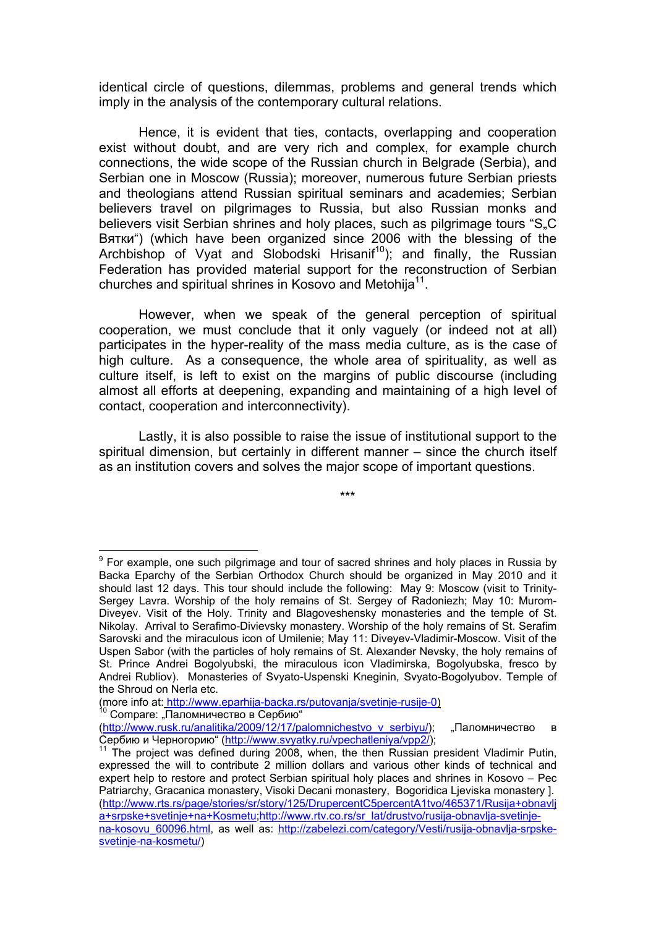identical circle of questions, dilemmas, problems and general trends which imply in the analysis of the contemporary cultural relations.

Hence, it is evident that ties, contacts, overlapping and cooperation exist without doubt, and are very rich and complex, for example church connections, the wide scope of the Russian church in Belgrade (Serbia), and Serbian one in Moscow (Russia); moreover, numerous future Serbian priests and theologians attend Russian spiritual seminars and academies; Serbian believers travel on pilgrimages to Russia, but also Russian monks and believers visit Serbian shrines and holy places, such as pilgrimage tours "S.C Вятки") (which have been organized since 2006 with the blessing of the Archbishop of Vyat and Slobodski Hrisani $f^{10}$ ); and finally, the Russian Federation has provided material support for the reconstruction of Serbian churches and spiritual shrines in Kosovo and Metohija $11$ .

However, when we speak of the general perception of spiritual cooperation, we must conclude that it only vaguely (or indeed not at all) participates in the hyper-reality of the mass media culture, as is the case of high culture. As a consequence, the whole area of spirituality, as well as culture itself, is left to exist on the margins of public discourse (including almost all efforts at deepening, expanding and maintaining of a high level of contact, cooperation and interconnectivity).

Lastly, it is also possible to raise the issue of institutional support to the spiritual dimension, but certainly in different manner – since the church itself as an institution covers and solves the major scope of important questions.

\*\*\*

(more info at: http://www.eparhija-backa.rs/putovanja/svetinje-rusije-0)<br><sup>10</sup> Сотраге: "Паломничество в Сербию"

 9 For example, one such pilgrimage and tour of sacred shrines and holy places in Russia by Backa Eparchy of the Serbian Orthodox Church should be organized in May 2010 and it should last 12 days. This tour should include the following: May 9: Moscow (visit to Trinity-Sergey Lavra. Worship of the holy remains of St. Sergey of Radoniezh; May 10: Murom-Diveyev. Visit of the Holy. Trinity and Blagoveshensky monasteries and the temple of St. Nikolay. Arrival to Serafimo-Divievsky monastery. Worship of the holy remains of St. Serafim Sarovski and the miraculous icon of Umilenie; May 11: Diveyev-Vladimir-Moscow. Visit of the Uspen Sabor (with the particles of holy remains of St. Alexander Nevsky, the holy remains of St. Prince Andrei Bogolyubski, the miraculous icon Vladimirska, Bogolyubska, fresco by Andrei Rubliov). Monasteries of Svyato-Uspenski Kneginin, Svyato-Bogolyubov. Temple of the Shroud on Nerla etc.

<sup>(</sup>http://www.rusk.ru/analitika/2009/12/17/palomnichestvo v serbiyu/); "Паломничество в<br>Сербию и Черногорию" (http://www.svyatky.ru/vpechatleniya/vpp2/);

 $11$  The project was defined during 2008, when, the then Russian president Vladimir Putin, expressed the will to contribute 2 million dollars and various other kinds of technical and expert help to restore and protect Serbian spiritual holy places and shrines in Kosovo – Pec Patriarchy, Gracanica monastery, Visoki Decani monastery, Bogoridica Ljeviska monastery ]. (http://www.rts.rs/page/stories/sr/story/125/DrupercentC5percentA1tvo/465371/Rusija+obnavlj a+srpske+svetinje+na+Kosmetu;http://www.rtv.co.rs/sr\_lat/drustvo/rusija-obnavlja-svetinjena-kosovu 60096.html, as well as: http://zabelezi.com/category/Vesti/rusija-obnavlja-srpskesvetinje-na-kosmetu/)